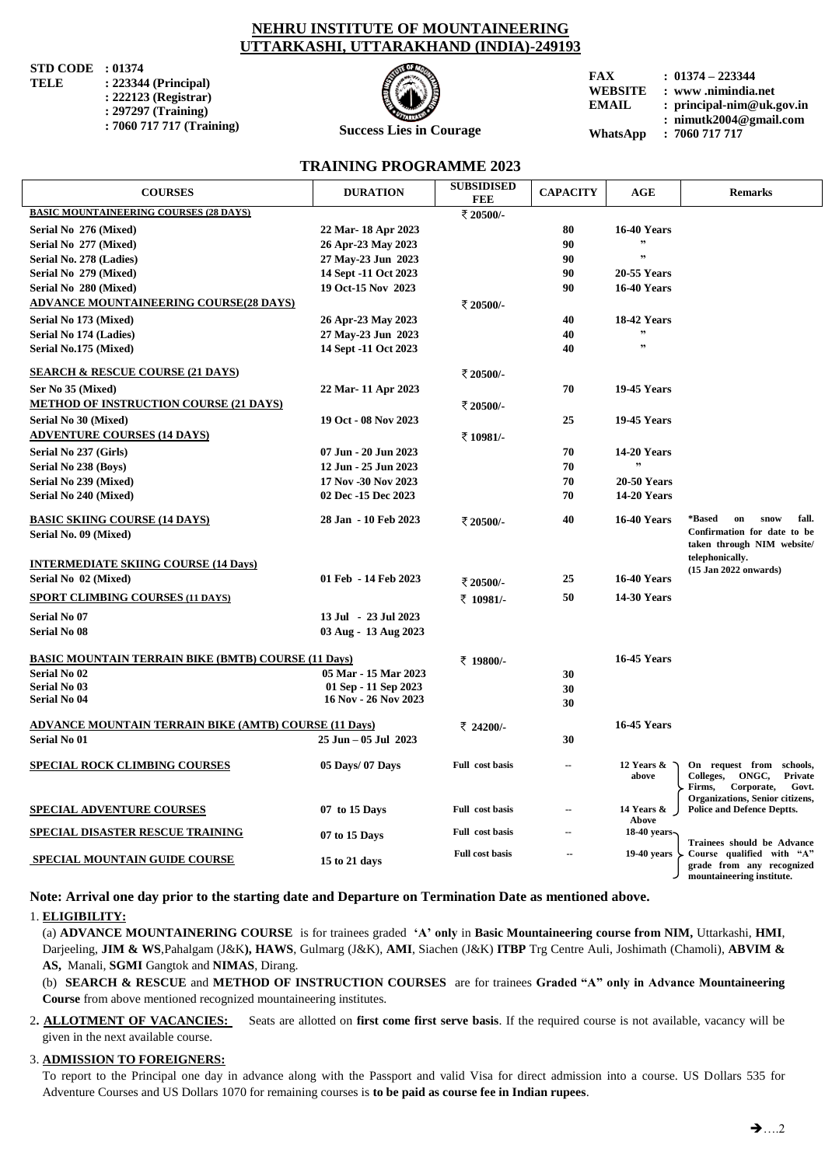## **NEHRU INSTITUTE OF MOUNTAINEERING UTTARKASHI, UTTARAKHAND (INDIA)-249193**

**STD CODE** : 01374<br>**TELE** : 223344

- **TELE : 223344 (Principal) : 222123 (Registrar) : 297297 (Training)**
	- **: 7060 717 717 (Training)**



**Success Lies in Courage**

**TRAINING PROGRAMME 2023**

**FAX : 01374 – 223344 WEBSITE : www .nimindia.net EMAIL : [principal-nim@uk.gov.in](mailto:principal-nim@uk.gov.in) : [nimutk2004@gmail.com](mailto:nimutk2004@gmail.com)**

**WhatsApp : 7060 717 717** 

| <b>COURSES</b>                                               | <b>DURATION</b>      | <b>SUBSIDISED</b><br><b>FEE</b> | <b>CAPACITY</b>          | AGE                | <b>Remarks</b>                                                       |
|--------------------------------------------------------------|----------------------|---------------------------------|--------------------------|--------------------|----------------------------------------------------------------------|
| <b>BASIC MOUNTAINEERING COURSES (28 DAYS)</b>                |                      |                                 |                          |                    |                                                                      |
| Serial No 276 (Mixed)                                        | 22 Mar-18 Apr 2023   |                                 | 80                       | <b>16-40 Years</b> |                                                                      |
| Serial No 277 (Mixed)                                        | 26 Apr-23 May 2023   |                                 | 90                       |                    |                                                                      |
| Serial No. 278 (Ladies)                                      | 27 May-23 Jun 2023   |                                 | 90                       | ,                  |                                                                      |
| Serial No 279 (Mixed)                                        | 14 Sept -11 Oct 2023 |                                 | 90                       | <b>20-55 Years</b> |                                                                      |
| Serial No 280 (Mixed)                                        | 19 Oct-15 Nov 2023   |                                 | 90                       | <b>16-40 Years</b> |                                                                      |
| <b>ADVANCE MOUNTAINEERING COURSE(28 DAYS)</b>                |                      | ₹ 20500/-                       |                          |                    |                                                                      |
| Serial No 173 (Mixed)                                        | 26 Apr-23 May 2023   |                                 | 40                       | 18-42 Years        |                                                                      |
| Serial No 174 (Ladies)                                       | 27 May-23 Jun 2023   |                                 | 40                       | ,,                 |                                                                      |
| Serial No.175 (Mixed)                                        | 14 Sept -11 Oct 2023 |                                 | 40                       | ,,                 |                                                                      |
|                                                              |                      |                                 |                          |                    |                                                                      |
| <b>SEARCH &amp; RESCUE COURSE (21 DAYS)</b>                  |                      | ₹ 20500/-                       |                          |                    |                                                                      |
| Ser No 35 (Mixed)                                            | 22 Mar- 11 Apr 2023  |                                 | 70                       | <b>19-45 Years</b> |                                                                      |
| <b>METHOD OF INSTRUCTION COURSE (21 DAYS)</b>                |                      | ₹ 20500/-                       |                          |                    |                                                                      |
| Serial No 30 (Mixed)                                         | 19 Oct - 08 Nov 2023 |                                 | 25                       | <b>19-45 Years</b> |                                                                      |
| <b>ADVENTURE COURSES (14 DAYS)</b>                           |                      | ₹10981/-                        |                          |                    |                                                                      |
| Serial No 237 (Girls)                                        | 07 Jun - 20 Jun 2023 |                                 | 70                       | <b>14-20 Years</b> |                                                                      |
| Serial No 238 (Boys)                                         | 12 Jun - 25 Jun 2023 |                                 | 70                       |                    |                                                                      |
| Serial No 239 (Mixed)                                        | 17 Nov -30 Nov 2023  |                                 | 70                       | <b>20-50 Years</b> |                                                                      |
| Serial No 240 (Mixed)                                        | 02 Dec -15 Dec 2023  |                                 | 70                       | <b>14-20 Years</b> |                                                                      |
| <b>BASIC SKIING COURSE (14 DAYS)</b>                         | 28 Jan - 10 Feb 2023 | ₹ 20500/-                       | 40                       | <b>16-40 Years</b> | *Based<br>fall.<br>on<br>snow                                        |
| Serial No. 09 (Mixed)                                        |                      |                                 |                          |                    | Confirmation for date to be                                          |
|                                                              |                      |                                 |                          |                    | taken through NIM website/                                           |
| <b>INTERMEDIATE SKIING COURSE (14 Days)</b>                  |                      |                                 |                          |                    | telephonically.<br>$(15$ Jan 2022 onwards)                           |
| Serial No 02 (Mixed)                                         | 01 Feb - 14 Feb 2023 | ₹ 20500/-                       | 25                       | <b>16-40 Years</b> |                                                                      |
| <b>SPORT CLIMBING COURSES (11 DAYS)</b>                      |                      | ₹ 10981/-                       | 50                       | <b>14-30 Years</b> |                                                                      |
| <b>Serial No 07</b>                                          | 13 Jul - 23 Jul 2023 |                                 |                          |                    |                                                                      |
| <b>Serial No 08</b>                                          | 03 Aug - 13 Aug 2023 |                                 |                          |                    |                                                                      |
| <b>BASIC MOUNTAIN TERRAIN BIKE (BMTB) COURSE (11 Days)</b>   |                      | ₹ 19800/-                       |                          | <b>16-45 Years</b> |                                                                      |
| <b>Serial No 02</b>                                          | 05 Mar - 15 Mar 2023 |                                 | 30                       |                    |                                                                      |
| <b>Serial No 03</b>                                          | 01 Sep - 11 Sep 2023 |                                 | 30                       |                    |                                                                      |
| <b>Serial No 04</b>                                          | 16 Nov - 26 Nov 2023 |                                 | 30                       |                    |                                                                      |
|                                                              |                      |                                 |                          |                    |                                                                      |
| <b>ADVANCE MOUNTAIN TERRAIN BIKE (AMTB) COURSE (11 Days)</b> |                      | ₹ 24200/-                       |                          | <b>16-45 Years</b> |                                                                      |
| <b>Serial No 01</b>                                          | 25 Jun - 05 Jul 2023 |                                 | 30                       |                    |                                                                      |
| <b>SPECIAL ROCK CLIMBING COURSES</b>                         | 05 Days/ 07 Days     | Full cost basis                 | $\overline{\phantom{a}}$ | 12 Years &         | On request from schools,                                             |
|                                                              |                      |                                 |                          | above              | Colleges,<br>ONGC,<br>Private<br>Firms,<br>Corporate,<br>Govt.       |
|                                                              |                      | Full cost basis                 |                          | 14 Years &         | Organizations, Senior citizens,<br><b>Police and Defence Deptts.</b> |
| <b>SPECIAL ADVENTURE COURSES</b>                             | 07 to 15 Days        |                                 |                          | Above              |                                                                      |
| <b>SPECIAL DISASTER RESCUE TRAINING</b>                      | 07 to 15 Days        | Full cost basis                 |                          | 18-40 years-       | Trainees should be Advance                                           |
| <b>SPECIAL MOUNTAIN GUIDE COURSE</b>                         | 15 to 21 days        | <b>Full cost basis</b>          |                          | $19-40$ years      | Course qualified with "A"                                            |
|                                                              |                      |                                 |                          |                    | grade from any recognized<br>mountaineering institute.               |

**Note: Arrival one day prior to the starting date and Departure on Termination Date as mentioned above.**

## 1. **ELIGIBILITY:**

 (a) **ADVANCE MOUNTAINERING COURSE** is for trainees graded **"A" only** in **Basic Mountaineering course from NIM,** Uttarkashi, **HMI**, Darjeeling, **JIM & WS**,Pahalgam (J&K**), HAWS**, Gulmarg (J&K), **AMI**, Siachen (J&K) **ITBP** Trg Centre Auli, Joshimath (Chamoli), **ABVIM & AS,** Manali, **SGMI** Gangtok and **NIMAS**, Dirang.

(b) **SEARCH & RESCUE** and **METHOD OF INSTRUCTION COURSES** are for trainees **Graded "A" only in Advance Mountaineering Course** from above mentioned recognized mountaineering institutes.

2**. ALLOTMENT OF VACANCIES:** Seats are allotted on **first come first serve basis**. If the required course is not available, vacancy will be given in the next available course.

## 3. **ADMISSION TO FOREIGNERS:**

 To report to the Principal one day in advance along with the Passport and valid Visa for direct admission into a course. US Dollars 535 for Adventure Courses and US Dollars 1070 for remaining courses is **to be paid as course fee in Indian rupees**.